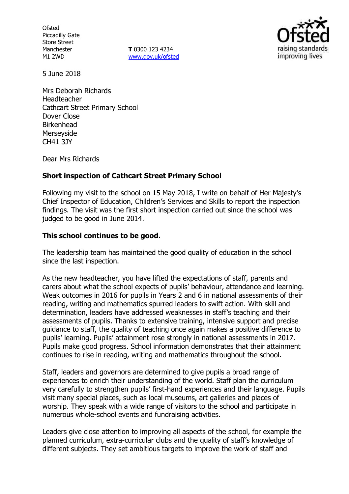**Ofsted** Piccadilly Gate Store Street Manchester M1 2WD

**T** 0300 123 4234 www.gov.uk/ofsted



5 June 2018

Mrs Deborah Richards Headteacher Cathcart Street Primary School Dover Close Birkenhead Merseyside CH41 3JY

Dear Mrs Richards

## **Short inspection of Cathcart Street Primary School**

Following my visit to the school on 15 May 2018, I write on behalf of Her Majesty's Chief Inspector of Education, Children's Services and Skills to report the inspection findings. The visit was the first short inspection carried out since the school was judged to be good in June 2014.

## **This school continues to be good.**

The leadership team has maintained the good quality of education in the school since the last inspection.

As the new headteacher, you have lifted the expectations of staff, parents and carers about what the school expects of pupils' behaviour, attendance and learning. Weak outcomes in 2016 for pupils in Years 2 and 6 in national assessments of their reading, writing and mathematics spurred leaders to swift action. With skill and determination, leaders have addressed weaknesses in staff's teaching and their assessments of pupils. Thanks to extensive training, intensive support and precise guidance to staff, the quality of teaching once again makes a positive difference to pupils' learning. Pupils' attainment rose strongly in national assessments in 2017. Pupils make good progress. School information demonstrates that their attainment continues to rise in reading, writing and mathematics throughout the school.

Staff, leaders and governors are determined to give pupils a broad range of experiences to enrich their understanding of the world. Staff plan the curriculum very carefully to strengthen pupils' first-hand experiences and their language. Pupils visit many special places, such as local museums, art galleries and places of worship. They speak with a wide range of visitors to the school and participate in numerous whole-school events and fundraising activities.

Leaders give close attention to improving all aspects of the school, for example the planned curriculum, extra-curricular clubs and the quality of staff's knowledge of different subjects. They set ambitious targets to improve the work of staff and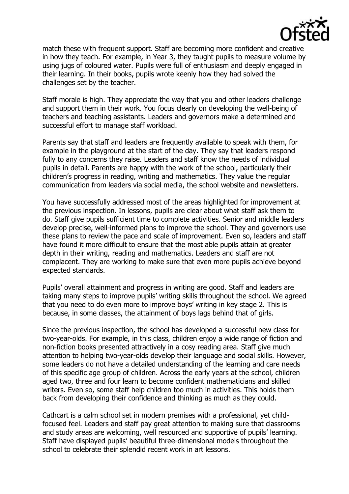

match these with frequent support. Staff are becoming more confident and creative in how they teach. For example, in Year 3, they taught pupils to measure volume by using jugs of coloured water. Pupils were full of enthusiasm and deeply engaged in their learning. In their books, pupils wrote keenly how they had solved the challenges set by the teacher.

Staff morale is high. They appreciate the way that you and other leaders challenge and support them in their work. You focus clearly on developing the well-being of teachers and teaching assistants. Leaders and governors make a determined and successful effort to manage staff workload.

Parents say that staff and leaders are frequently available to speak with them, for example in the playground at the start of the day. They say that leaders respond fully to any concerns they raise. Leaders and staff know the needs of individual pupils in detail. Parents are happy with the work of the school, particularly their children's progress in reading, writing and mathematics. They value the regular communication from leaders via social media, the school website and newsletters.

You have successfully addressed most of the areas highlighted for improvement at the previous inspection. In lessons, pupils are clear about what staff ask them to do. Staff give pupils sufficient time to complete activities. Senior and middle leaders develop precise, well-informed plans to improve the school. They and governors use these plans to review the pace and scale of improvement. Even so, leaders and staff have found it more difficult to ensure that the most able pupils attain at greater depth in their writing, reading and mathematics. Leaders and staff are not complacent. They are working to make sure that even more pupils achieve beyond expected standards.

Pupils' overall attainment and progress in writing are good. Staff and leaders are taking many steps to improve pupils' writing skills throughout the school. We agreed that you need to do even more to improve boys' writing in key stage 2. This is because, in some classes, the attainment of boys lags behind that of girls.

Since the previous inspection, the school has developed a successful new class for two-year-olds. For example, in this class, children enjoy a wide range of fiction and non-fiction books presented attractively in a cosy reading area. Staff give much attention to helping two-year-olds develop their language and social skills. However, some leaders do not have a detailed understanding of the learning and care needs of this specific age group of children. Across the early years at the school, children aged two, three and four learn to become confident mathematicians and skilled writers. Even so, some staff help children too much in activities. This holds them back from developing their confidence and thinking as much as they could.

Cathcart is a calm school set in modern premises with a professional, yet childfocused feel. Leaders and staff pay great attention to making sure that classrooms and study areas are welcoming, well resourced and supportive of pupils' learning. Staff have displayed pupils' beautiful three-dimensional models throughout the school to celebrate their splendid recent work in art lessons.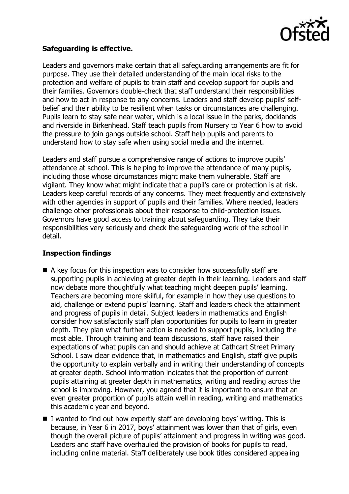

#### **Safeguarding is effective.**

Leaders and governors make certain that all safeguarding arrangements are fit for purpose. They use their detailed understanding of the main local risks to the protection and welfare of pupils to train staff and develop support for pupils and their families. Governors double-check that staff understand their responsibilities and how to act in response to any concerns. Leaders and staff develop pupils' selfbelief and their ability to be resilient when tasks or circumstances are challenging. Pupils learn to stay safe near water, which is a local issue in the parks, docklands and riverside in Birkenhead. Staff teach pupils from Nursery to Year 6 how to avoid the pressure to join gangs outside school. Staff help pupils and parents to understand how to stay safe when using social media and the internet.

Leaders and staff pursue a comprehensive range of actions to improve pupils' attendance at school. This is helping to improve the attendance of many pupils, including those whose circumstances might make them vulnerable. Staff are vigilant. They know what might indicate that a pupil's care or protection is at risk. Leaders keep careful records of any concerns. They meet frequently and extensively with other agencies in support of pupils and their families. Where needed, leaders challenge other professionals about their response to child-protection issues. Governors have good access to training about safeguarding. They take their responsibilities very seriously and check the safeguarding work of the school in detail.

# **Inspection findings**

- A key focus for this inspection was to consider how successfully staff are supporting pupils in achieving at greater depth in their learning. Leaders and staff now debate more thoughtfully what teaching might deepen pupils' learning. Teachers are becoming more skilful, for example in how they use questions to aid, challenge or extend pupils' learning. Staff and leaders check the attainment and progress of pupils in detail. Subject leaders in mathematics and English consider how satisfactorily staff plan opportunities for pupils to learn in greater depth. They plan what further action is needed to support pupils, including the most able. Through training and team discussions, staff have raised their expectations of what pupils can and should achieve at Cathcart Street Primary School. I saw clear evidence that, in mathematics and English, staff give pupils the opportunity to explain verbally and in writing their understanding of concepts at greater depth. School information indicates that the proportion of current pupils attaining at greater depth in mathematics, writing and reading across the school is improving. However, you agreed that it is important to ensure that an even greater proportion of pupils attain well in reading, writing and mathematics this academic year and beyond.
- I wanted to find out how expertly staff are developing boys' writing. This is because, in Year 6 in 2017, boys' attainment was lower than that of girls, even though the overall picture of pupils' attainment and progress in writing was good. Leaders and staff have overhauled the provision of books for pupils to read, including online material. Staff deliberately use book titles considered appealing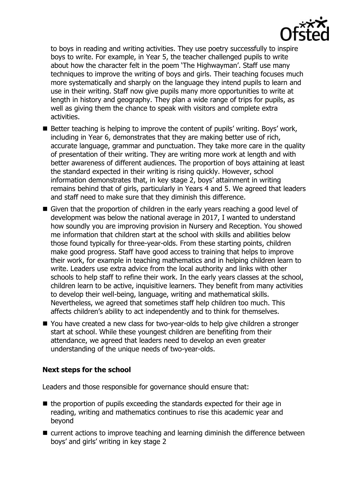

to boys in reading and writing activities. They use poetry successfully to inspire boys to write. For example, in Year 5, the teacher challenged pupils to write about how the character felt in the poem 'The Highwayman'. Staff use many techniques to improve the writing of boys and girls. Their teaching focuses much more systematically and sharply on the language they intend pupils to learn and use in their writing. Staff now give pupils many more opportunities to write at length in history and geography. They plan a wide range of trips for pupils, as well as giving them the chance to speak with visitors and complete extra activities.

- Better teaching is helping to improve the content of pupils' writing. Boys' work, including in Year 6, demonstrates that they are making better use of rich, accurate language, grammar and punctuation. They take more care in the quality of presentation of their writing. They are writing more work at length and with better awareness of different audiences. The proportion of boys attaining at least the standard expected in their writing is rising quickly. However, school information demonstrates that, in key stage 2, boys' attainment in writing remains behind that of girls, particularly in Years 4 and 5. We agreed that leaders and staff need to make sure that they diminish this difference.
- Given that the proportion of children in the early years reaching a good level of development was below the national average in 2017, I wanted to understand how soundly you are improving provision in Nursery and Reception. You showed me information that children start at the school with skills and abilities below those found typically for three-year-olds. From these starting points, children make good progress. Staff have good access to training that helps to improve their work, for example in teaching mathematics and in helping children learn to write. Leaders use extra advice from the local authority and links with other schools to help staff to refine their work. In the early years classes at the school, children learn to be active, inquisitive learners. They benefit from many activities to develop their well-being, language, writing and mathematical skills. Nevertheless, we agreed that sometimes staff help children too much. This affects children's ability to act independently and to think for themselves.
- You have created a new class for two-year-olds to help give children a stronger start at school. While these youngest children are benefiting from their attendance, we agreed that leaders need to develop an even greater understanding of the unique needs of two-year-olds.

#### **Next steps for the school**

Leaders and those responsible for governance should ensure that:

- $\blacksquare$  the proportion of pupils exceeding the standards expected for their age in reading, writing and mathematics continues to rise this academic year and beyond
- current actions to improve teaching and learning diminish the difference between boys' and girls' writing in key stage 2